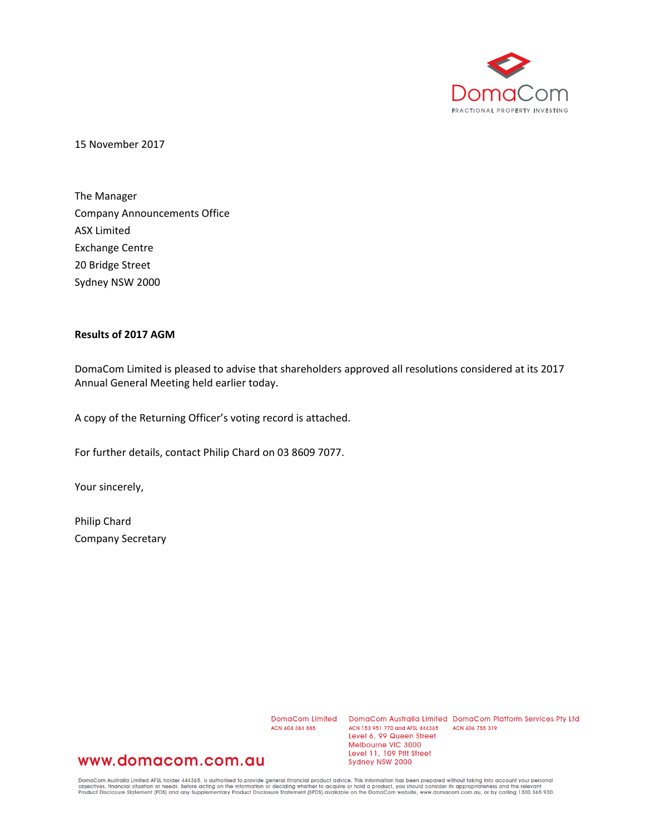

15 November 2017

The Manager Company Announcements Office ASX Limited Exchange Centre 20 Bridge Street Sydney NSW 2000

## **Results of 2017 AGM**

DomaCom Limited is pleased to advise that shareholders approved all resolutions considered at its 2017 Annual General Meeting held earlier today.

A copy of the Returning Officer's voting record is attached.

For further details, contact Philip Chard on 03 8609 7077.

Your sincerely,

Philip Chard Company Secretary

ACN 604 384 885

DomaCom Limited DomaCom Australia Limited DomaCom Platform Services Pty Ltd ACN 153 951 770 and AFSL 444365 ACN 606 755 319 Level 6, 99 Queen Street Melbourne VIC 3000 Level 11, 109 Pitt Street Sydney NSW 2000

## www.domacom.com.au

DomaCom Australia Limited AFSL holder 444365, is authorised to provide general financial product advice. This information has been prepared without taking into account your personal<br>objectives, financial situation or needs